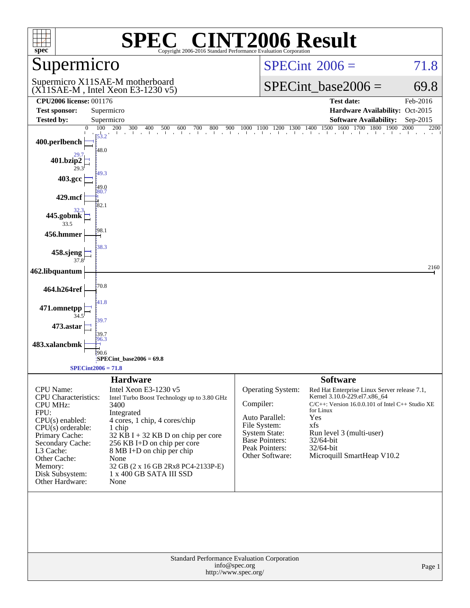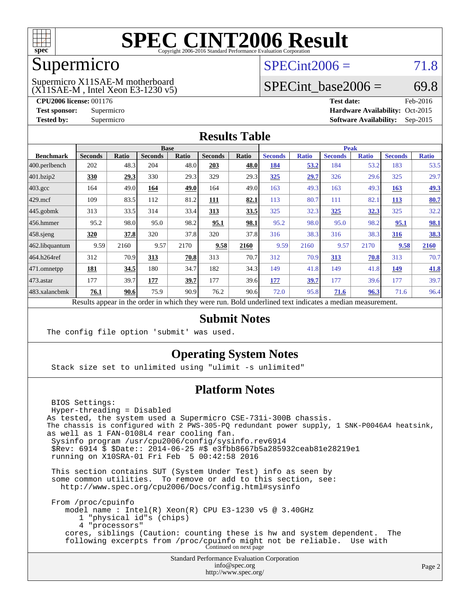

### Supermicro

### $SPECint2006 = 71.8$  $SPECint2006 = 71.8$

(X11SAE-M , Intel Xeon E3-1230 v5) Supermicro X11SAE-M motherboard

SPECint base2006 =  $69.8$ 

**[CPU2006 license:](http://www.spec.org/auto/cpu2006/Docs/result-fields.html#CPU2006license)** 001176 **[Test date:](http://www.spec.org/auto/cpu2006/Docs/result-fields.html#Testdate)** Feb-2016 **[Test sponsor:](http://www.spec.org/auto/cpu2006/Docs/result-fields.html#Testsponsor)** Supermicro Supermicro **[Hardware Availability:](http://www.spec.org/auto/cpu2006/Docs/result-fields.html#HardwareAvailability)** Oct-2015 **[Tested by:](http://www.spec.org/auto/cpu2006/Docs/result-fields.html#Testedby)** Supermicro **Supermicro [Software Availability:](http://www.spec.org/auto/cpu2006/Docs/result-fields.html#SoftwareAvailability)** Sep-2015

### **[Results Table](http://www.spec.org/auto/cpu2006/Docs/result-fields.html#ResultsTable)**

| <b>Base</b>    |                             |                |       |                                | <b>Peak</b> |                |              |                |                                                     |                |              |
|----------------|-----------------------------|----------------|-------|--------------------------------|-------------|----------------|--------------|----------------|-----------------------------------------------------|----------------|--------------|
| <b>Seconds</b> | <b>Ratio</b>                | <b>Seconds</b> | Ratio | <b>Seconds</b>                 | Ratio       | <b>Seconds</b> | <b>Ratio</b> | <b>Seconds</b> | <b>Ratio</b>                                        | <b>Seconds</b> | <b>Ratio</b> |
| 202            | 48.3                        | 204            | 48.0  | 203                            | 48.0        | 184            | 53.2         | 184            | 53.2                                                | 183            | 53.5         |
| 330            | 29.3                        | 330            | 29.3  | 329                            | 29.3        | 325            | 29.7         | 326            | 29.6                                                | 325            | 29.7         |
| 164            | 49.0                        | 164            | 49.0  | 164                            | 49.0        | 163            | 49.3         | 163            | 49.3                                                | 163            | 49.3         |
| 109            | 83.5                        | 112            | 81.2  | <u>111</u>                     | 82.1        | 113            | 80.7         | 111            | 82.                                                 | 113            | 80.7         |
| 313            | 33.5                        | 314            | 33.4  | 313                            | 33.5        | 325            | 32.3         | 325            | <u>32.3</u>                                         | 325            | 32.2         |
| 95.2           | 98.0                        | 95.0           | 98.2  | 95.1                           | 98.1        | 95.2           | 98.0         | 95.0           | 98.2                                                | 95.1           | 98.1         |
| 320            | 37.8                        | 320            | 37.8  | 320                            | 37.8        | 316            | 38.3         | 316            | 38.3                                                | 316            | <u>38.3</u>  |
| 9.59           | 2160                        | 9.57           | 2170  | 9.58                           | 2160        | 9.59           | 2160         | 9.57           | 2170                                                | 9.58           | 2160         |
| 312            | 70.9                        | 313            | 70.8  | 313                            | 70.7        | 312            | 70.9         | 313            | 70.8                                                | 313            | 70.7         |
| 181            | 34.5                        | 180            | 34.7  | 182                            | 34.3        | 149            | 41.8         | 149            | 41.8                                                | 149            | 41.8         |
| 177            | 39.7                        | 177            | 39.7  | 177                            | 39.6        | 177            | <u>39.7</u>  | 177            | 39.6                                                | 177            | 39.7         |
| 76.1           | 90.6                        | 75.9           | 90.9  | 76.2                           | 90.6        | 72.0           | 95.8         | 71.6           | 96.3                                                | 71.6           | 96.4         |
|                | $\mathbf{D}$ . $\mathbf{L}$ | 1.11           |       | $-1.5 - 1.5 - 1.5 - 1.5 - 1.5$ |             |                |              |                | $D$ and $L$ and $L$ and $L$ and $L$ and $L$ and $L$ |                |              |

Results appear in the [order in which they were run.](http://www.spec.org/auto/cpu2006/Docs/result-fields.html#RunOrder) Bold underlined text [indicates a median measurement.](http://www.spec.org/auto/cpu2006/Docs/result-fields.html#Median)

### **[Submit Notes](http://www.spec.org/auto/cpu2006/Docs/result-fields.html#SubmitNotes)**

The config file option 'submit' was used.

### **[Operating System Notes](http://www.spec.org/auto/cpu2006/Docs/result-fields.html#OperatingSystemNotes)**

Stack size set to unlimited using "ulimit -s unlimited"

### **[Platform Notes](http://www.spec.org/auto/cpu2006/Docs/result-fields.html#PlatformNotes)**

Standard Performance Evaluation Corporation BIOS Settings: Hyper-threading = Disabled As tested, the system used a Supermicro CSE-731i-300B chassis. The chassis is configured with 2 PWS-305-PQ redundant power supply, 1 SNK-P0046A4 heatsink, as well as 1 FAN-0108L4 rear cooling fan. Sysinfo program /usr/cpu2006/config/sysinfo.rev6914 \$Rev: 6914 \$ \$Date:: 2014-06-25 #\$ e3fbb8667b5a285932ceab81e28219e1 running on X10SRA-01 Fri Feb 5 00:42:58 2016 This section contains SUT (System Under Test) info as seen by some common utilities. To remove or add to this section, see: <http://www.spec.org/cpu2006/Docs/config.html#sysinfo> From /proc/cpuinfo model name : Intel(R) Xeon(R) CPU E3-1230 v5 @ 3.40GHz 1 "physical id"s (chips) 4 "processors" cores, siblings (Caution: counting these is hw and system dependent. The following excerpts from /proc/cpuinfo might not be reliable. Use with Continued on next page

[info@spec.org](mailto:info@spec.org) <http://www.spec.org/>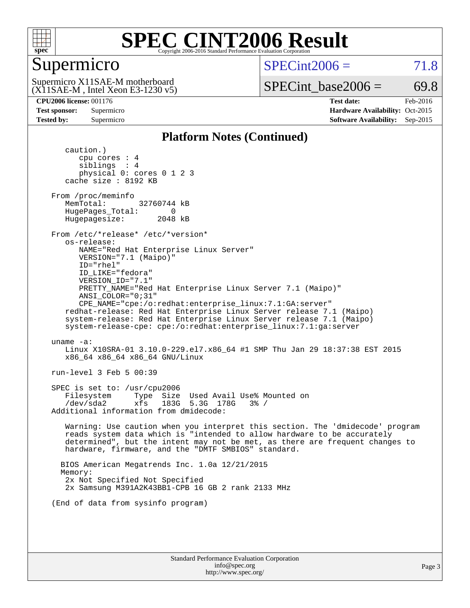

### Supermicro

 $SPECint2006 = 71.8$  $SPECint2006 = 71.8$ 

(X11SAE-M , Intel Xeon E3-1230 v5) Supermicro X11SAE-M motherboard

SPECint base2006 =  $69.8$ 

**[CPU2006 license:](http://www.spec.org/auto/cpu2006/Docs/result-fields.html#CPU2006license)** 001176 **[Test date:](http://www.spec.org/auto/cpu2006/Docs/result-fields.html#Testdate)** Feb-2016 **[Test sponsor:](http://www.spec.org/auto/cpu2006/Docs/result-fields.html#Testsponsor)** Supermicro Supermicro **[Hardware Availability:](http://www.spec.org/auto/cpu2006/Docs/result-fields.html#HardwareAvailability)** Oct-2015 **[Tested by:](http://www.spec.org/auto/cpu2006/Docs/result-fields.html#Testedby)** Supermicro **Supermicro [Software Availability:](http://www.spec.org/auto/cpu2006/Docs/result-fields.html#SoftwareAvailability)** Sep-2015

### **[Platform Notes \(Continued\)](http://www.spec.org/auto/cpu2006/Docs/result-fields.html#PlatformNotes)**

 caution.) cpu cores : 4 siblings : 4 physical 0: cores 0 1 2 3 cache size : 8192 KB From /proc/meminfo MemTotal: 32760744 kB HugePages\_Total: 0<br>Hugepagesize: 2048 kB Hugepagesize: From /etc/\*release\* /etc/\*version\* os-release: NAME="Red Hat Enterprise Linux Server" VERSION="7.1 (Maipo)" ID="rhel" ID\_LIKE="fedora" VERSION\_ID="7.1" PRETTY\_NAME="Red Hat Enterprise Linux Server 7.1 (Maipo)" ANSI\_COLOR="0;31" CPE\_NAME="cpe:/o:redhat:enterprise\_linux:7.1:GA:server" redhat-release: Red Hat Enterprise Linux Server release 7.1 (Maipo) system-release: Red Hat Enterprise Linux Server release 7.1 (Maipo) system-release-cpe: cpe:/o:redhat:enterprise\_linux:7.1:ga:server uname -a: Linux X10SRA-01 3.10.0-229.el7.x86\_64 #1 SMP Thu Jan 29 18:37:38 EST 2015 x86\_64 x86\_64 x86\_64 GNU/Linux run-level 3 Feb 5 00:39 SPEC is set to: /usr/cpu2006 Filesystem Type Size Used Avail Use% Mounted on /dev/sda2 xfs 183G 5.3G 178G 3% / Additional information from dmidecode: Warning: Use caution when you interpret this section. The 'dmidecode' program reads system data which is "intended to allow hardware to be accurately determined", but the intent may not be met, as there are frequent changes to hardware, firmware, and the "DMTF SMBIOS" standard. BIOS American Megatrends Inc. 1.0a 12/21/2015 Memory: 2x Not Specified Not Specified 2x Samsung M391A2K43BB1-CPB 16 GB 2 rank 2133 MHz (End of data from sysinfo program)

Standard Performance Evaluation Corporation [info@spec.org](mailto:info@spec.org) <http://www.spec.org/>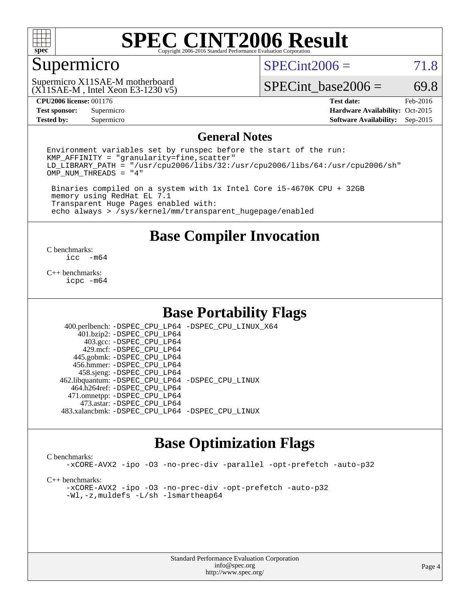

### Supermicro

 $SPECint2006 = 71.8$  $SPECint2006 = 71.8$ 

(X11SAE-M , Intel Xeon E3-1230 v5) Supermicro X11SAE-M motherboard

SPECint base2006 =  $69.8$ 

**[Tested by:](http://www.spec.org/auto/cpu2006/Docs/result-fields.html#Testedby)** Supermicro **Supermicro [Software Availability:](http://www.spec.org/auto/cpu2006/Docs/result-fields.html#SoftwareAvailability)** Sep-2015

**[CPU2006 license:](http://www.spec.org/auto/cpu2006/Docs/result-fields.html#CPU2006license)** 001176 **[Test date:](http://www.spec.org/auto/cpu2006/Docs/result-fields.html#Testdate)** Feb-2016 **[Test sponsor:](http://www.spec.org/auto/cpu2006/Docs/result-fields.html#Testsponsor)** Supermicro Supermicro **[Hardware Availability:](http://www.spec.org/auto/cpu2006/Docs/result-fields.html#HardwareAvailability)** Oct-2015

### **[General Notes](http://www.spec.org/auto/cpu2006/Docs/result-fields.html#GeneralNotes)**

Environment variables set by runspec before the start of the run:  $KMP$  AFFINITY = "granularity=fine, scatter" LD\_LIBRARY\_PATH = "/usr/cpu2006/libs/32:/usr/cpu2006/libs/64:/usr/cpu2006/sh" OMP\_NUM\_THREADS = "4"

 Binaries compiled on a system with 1x Intel Core i5-4670K CPU + 32GB memory using RedHat EL 7.1 Transparent Huge Pages enabled with: echo always > /sys/kernel/mm/transparent\_hugepage/enabled

**[Base Compiler Invocation](http://www.spec.org/auto/cpu2006/Docs/result-fields.html#BaseCompilerInvocation)**

 $\frac{C \text{ benchmarks:}}{C \text{ C}}$ -m64

[C++ benchmarks:](http://www.spec.org/auto/cpu2006/Docs/result-fields.html#CXXbenchmarks) [icpc -m64](http://www.spec.org/cpu2006/results/res2016q1/cpu2006-20160307-39288.flags.html#user_CXXbase_intel_icpc_64bit_fc66a5337ce925472a5c54ad6a0de310)

### **[Base Portability Flags](http://www.spec.org/auto/cpu2006/Docs/result-fields.html#BasePortabilityFlags)**

 400.perlbench: [-DSPEC\\_CPU\\_LP64](http://www.spec.org/cpu2006/results/res2016q1/cpu2006-20160307-39288.flags.html#b400.perlbench_basePORTABILITY_DSPEC_CPU_LP64) [-DSPEC\\_CPU\\_LINUX\\_X64](http://www.spec.org/cpu2006/results/res2016q1/cpu2006-20160307-39288.flags.html#b400.perlbench_baseCPORTABILITY_DSPEC_CPU_LINUX_X64) 401.bzip2: [-DSPEC\\_CPU\\_LP64](http://www.spec.org/cpu2006/results/res2016q1/cpu2006-20160307-39288.flags.html#suite_basePORTABILITY401_bzip2_DSPEC_CPU_LP64) 403.gcc: [-DSPEC\\_CPU\\_LP64](http://www.spec.org/cpu2006/results/res2016q1/cpu2006-20160307-39288.flags.html#suite_basePORTABILITY403_gcc_DSPEC_CPU_LP64) 429.mcf: [-DSPEC\\_CPU\\_LP64](http://www.spec.org/cpu2006/results/res2016q1/cpu2006-20160307-39288.flags.html#suite_basePORTABILITY429_mcf_DSPEC_CPU_LP64) 445.gobmk: [-DSPEC\\_CPU\\_LP64](http://www.spec.org/cpu2006/results/res2016q1/cpu2006-20160307-39288.flags.html#suite_basePORTABILITY445_gobmk_DSPEC_CPU_LP64) 456.hmmer: [-DSPEC\\_CPU\\_LP64](http://www.spec.org/cpu2006/results/res2016q1/cpu2006-20160307-39288.flags.html#suite_basePORTABILITY456_hmmer_DSPEC_CPU_LP64) 458.sjeng: [-DSPEC\\_CPU\\_LP64](http://www.spec.org/cpu2006/results/res2016q1/cpu2006-20160307-39288.flags.html#suite_basePORTABILITY458_sjeng_DSPEC_CPU_LP64) 462.libquantum: [-DSPEC\\_CPU\\_LP64](http://www.spec.org/cpu2006/results/res2016q1/cpu2006-20160307-39288.flags.html#suite_basePORTABILITY462_libquantum_DSPEC_CPU_LP64) [-DSPEC\\_CPU\\_LINUX](http://www.spec.org/cpu2006/results/res2016q1/cpu2006-20160307-39288.flags.html#b462.libquantum_baseCPORTABILITY_DSPEC_CPU_LINUX) 464.h264ref: [-DSPEC\\_CPU\\_LP64](http://www.spec.org/cpu2006/results/res2016q1/cpu2006-20160307-39288.flags.html#suite_basePORTABILITY464_h264ref_DSPEC_CPU_LP64) 471.omnetpp: [-DSPEC\\_CPU\\_LP64](http://www.spec.org/cpu2006/results/res2016q1/cpu2006-20160307-39288.flags.html#suite_basePORTABILITY471_omnetpp_DSPEC_CPU_LP64) 473.astar: [-DSPEC\\_CPU\\_LP64](http://www.spec.org/cpu2006/results/res2016q1/cpu2006-20160307-39288.flags.html#suite_basePORTABILITY473_astar_DSPEC_CPU_LP64) 483.xalancbmk: [-DSPEC\\_CPU\\_LP64](http://www.spec.org/cpu2006/results/res2016q1/cpu2006-20160307-39288.flags.html#suite_basePORTABILITY483_xalancbmk_DSPEC_CPU_LP64) [-DSPEC\\_CPU\\_LINUX](http://www.spec.org/cpu2006/results/res2016q1/cpu2006-20160307-39288.flags.html#b483.xalancbmk_baseCXXPORTABILITY_DSPEC_CPU_LINUX)

### **[Base Optimization Flags](http://www.spec.org/auto/cpu2006/Docs/result-fields.html#BaseOptimizationFlags)**

### [C benchmarks](http://www.spec.org/auto/cpu2006/Docs/result-fields.html#Cbenchmarks):

[-xCORE-AVX2](http://www.spec.org/cpu2006/results/res2016q1/cpu2006-20160307-39288.flags.html#user_CCbase_f-xAVX2_5f5fc0cbe2c9f62c816d3e45806c70d7) [-ipo](http://www.spec.org/cpu2006/results/res2016q1/cpu2006-20160307-39288.flags.html#user_CCbase_f-ipo) [-O3](http://www.spec.org/cpu2006/results/res2016q1/cpu2006-20160307-39288.flags.html#user_CCbase_f-O3) [-no-prec-div](http://www.spec.org/cpu2006/results/res2016q1/cpu2006-20160307-39288.flags.html#user_CCbase_f-no-prec-div) [-parallel](http://www.spec.org/cpu2006/results/res2016q1/cpu2006-20160307-39288.flags.html#user_CCbase_f-parallel) [-opt-prefetch](http://www.spec.org/cpu2006/results/res2016q1/cpu2006-20160307-39288.flags.html#user_CCbase_f-opt-prefetch) [-auto-p32](http://www.spec.org/cpu2006/results/res2016q1/cpu2006-20160307-39288.flags.html#user_CCbase_f-auto-p32)

[C++ benchmarks:](http://www.spec.org/auto/cpu2006/Docs/result-fields.html#CXXbenchmarks)

[-xCORE-AVX2](http://www.spec.org/cpu2006/results/res2016q1/cpu2006-20160307-39288.flags.html#user_CXXbase_f-xAVX2_5f5fc0cbe2c9f62c816d3e45806c70d7) [-ipo](http://www.spec.org/cpu2006/results/res2016q1/cpu2006-20160307-39288.flags.html#user_CXXbase_f-ipo) [-O3](http://www.spec.org/cpu2006/results/res2016q1/cpu2006-20160307-39288.flags.html#user_CXXbase_f-O3) [-no-prec-div](http://www.spec.org/cpu2006/results/res2016q1/cpu2006-20160307-39288.flags.html#user_CXXbase_f-no-prec-div) [-opt-prefetch](http://www.spec.org/cpu2006/results/res2016q1/cpu2006-20160307-39288.flags.html#user_CXXbase_f-opt-prefetch) [-auto-p32](http://www.spec.org/cpu2006/results/res2016q1/cpu2006-20160307-39288.flags.html#user_CXXbase_f-auto-p32) [-Wl,-z,muldefs](http://www.spec.org/cpu2006/results/res2016q1/cpu2006-20160307-39288.flags.html#user_CXXbase_link_force_multiple1_74079c344b956b9658436fd1b6dd3a8a) [-L/sh -lsmartheap64](http://www.spec.org/cpu2006/results/res2016q1/cpu2006-20160307-39288.flags.html#user_CXXbase_SmartHeap64_ed4ef857ce90951921efb0d91eb88472)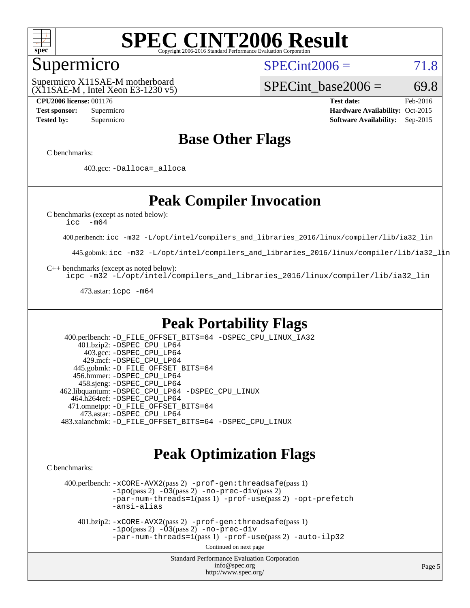

### Supermicro

 $SPECint2006 = 71.8$  $SPECint2006 = 71.8$ 

(X11SAE-M , Intel Xeon E3-1230 v5) Supermicro X11SAE-M motherboard

SPECint base2006 =  $69.8$ 

**[CPU2006 license:](http://www.spec.org/auto/cpu2006/Docs/result-fields.html#CPU2006license)** 001176 **[Test date:](http://www.spec.org/auto/cpu2006/Docs/result-fields.html#Testdate)** Feb-2016 **[Test sponsor:](http://www.spec.org/auto/cpu2006/Docs/result-fields.html#Testsponsor)** Supermicro Supermicro **[Hardware Availability:](http://www.spec.org/auto/cpu2006/Docs/result-fields.html#HardwareAvailability)** Oct-2015 **[Tested by:](http://www.spec.org/auto/cpu2006/Docs/result-fields.html#Testedby)** Supermicro **Supermicro [Software Availability:](http://www.spec.org/auto/cpu2006/Docs/result-fields.html#SoftwareAvailability)** Sep-2015

### **[Base Other Flags](http://www.spec.org/auto/cpu2006/Docs/result-fields.html#BaseOtherFlags)**

[C benchmarks](http://www.spec.org/auto/cpu2006/Docs/result-fields.html#Cbenchmarks):

403.gcc: [-Dalloca=\\_alloca](http://www.spec.org/cpu2006/results/res2016q1/cpu2006-20160307-39288.flags.html#b403.gcc_baseEXTRA_CFLAGS_Dalloca_be3056838c12de2578596ca5467af7f3)

### **[Peak Compiler Invocation](http://www.spec.org/auto/cpu2006/Docs/result-fields.html#PeakCompilerInvocation)**

[C benchmarks \(except as noted below\)](http://www.spec.org/auto/cpu2006/Docs/result-fields.html#Cbenchmarksexceptasnotedbelow):

[icc -m64](http://www.spec.org/cpu2006/results/res2016q1/cpu2006-20160307-39288.flags.html#user_CCpeak_intel_icc_64bit_f346026e86af2a669e726fe758c88044)

400.perlbench: [icc -m32 -L/opt/intel/compilers\\_and\\_libraries\\_2016/linux/compiler/lib/ia32\\_lin](http://www.spec.org/cpu2006/results/res2016q1/cpu2006-20160307-39288.flags.html#user_peakCCLD400_perlbench_intel_icc_e10256ba5924b668798078a321b0cb3f)

445.gobmk: [icc -m32 -L/opt/intel/compilers\\_and\\_libraries\\_2016/linux/compiler/lib/ia32\\_lin](http://www.spec.org/cpu2006/results/res2016q1/cpu2006-20160307-39288.flags.html#user_peakCCLD445_gobmk_intel_icc_e10256ba5924b668798078a321b0cb3f)

[C++ benchmarks \(except as noted below\):](http://www.spec.org/auto/cpu2006/Docs/result-fields.html#CXXbenchmarksexceptasnotedbelow)

[icpc -m32 -L/opt/intel/compilers\\_and\\_libraries\\_2016/linux/compiler/lib/ia32\\_lin](http://www.spec.org/cpu2006/results/res2016q1/cpu2006-20160307-39288.flags.html#user_CXXpeak_intel_icpc_b4f50a394bdb4597aa5879c16bc3f5c5)

473.astar: [icpc -m64](http://www.spec.org/cpu2006/results/res2016q1/cpu2006-20160307-39288.flags.html#user_peakCXXLD473_astar_intel_icpc_64bit_fc66a5337ce925472a5c54ad6a0de310)

### **[Peak Portability Flags](http://www.spec.org/auto/cpu2006/Docs/result-fields.html#PeakPortabilityFlags)**

 400.perlbench: [-D\\_FILE\\_OFFSET\\_BITS=64](http://www.spec.org/cpu2006/results/res2016q1/cpu2006-20160307-39288.flags.html#user_peakPORTABILITY400_perlbench_file_offset_bits_64_438cf9856305ebd76870a2c6dc2689ab) [-DSPEC\\_CPU\\_LINUX\\_IA32](http://www.spec.org/cpu2006/results/res2016q1/cpu2006-20160307-39288.flags.html#b400.perlbench_peakCPORTABILITY_DSPEC_CPU_LINUX_IA32) 401.bzip2: [-DSPEC\\_CPU\\_LP64](http://www.spec.org/cpu2006/results/res2016q1/cpu2006-20160307-39288.flags.html#suite_peakPORTABILITY401_bzip2_DSPEC_CPU_LP64) 403.gcc: [-DSPEC\\_CPU\\_LP64](http://www.spec.org/cpu2006/results/res2016q1/cpu2006-20160307-39288.flags.html#suite_peakPORTABILITY403_gcc_DSPEC_CPU_LP64) 429.mcf: [-DSPEC\\_CPU\\_LP64](http://www.spec.org/cpu2006/results/res2016q1/cpu2006-20160307-39288.flags.html#suite_peakPORTABILITY429_mcf_DSPEC_CPU_LP64) 445.gobmk: [-D\\_FILE\\_OFFSET\\_BITS=64](http://www.spec.org/cpu2006/results/res2016q1/cpu2006-20160307-39288.flags.html#user_peakPORTABILITY445_gobmk_file_offset_bits_64_438cf9856305ebd76870a2c6dc2689ab) 456.hmmer: [-DSPEC\\_CPU\\_LP64](http://www.spec.org/cpu2006/results/res2016q1/cpu2006-20160307-39288.flags.html#suite_peakPORTABILITY456_hmmer_DSPEC_CPU_LP64) 458.sjeng: [-DSPEC\\_CPU\\_LP64](http://www.spec.org/cpu2006/results/res2016q1/cpu2006-20160307-39288.flags.html#suite_peakPORTABILITY458_sjeng_DSPEC_CPU_LP64) 462.libquantum: [-DSPEC\\_CPU\\_LP64](http://www.spec.org/cpu2006/results/res2016q1/cpu2006-20160307-39288.flags.html#suite_peakPORTABILITY462_libquantum_DSPEC_CPU_LP64) [-DSPEC\\_CPU\\_LINUX](http://www.spec.org/cpu2006/results/res2016q1/cpu2006-20160307-39288.flags.html#b462.libquantum_peakCPORTABILITY_DSPEC_CPU_LINUX) 464.h264ref: [-DSPEC\\_CPU\\_LP64](http://www.spec.org/cpu2006/results/res2016q1/cpu2006-20160307-39288.flags.html#suite_peakPORTABILITY464_h264ref_DSPEC_CPU_LP64) 471.omnetpp: [-D\\_FILE\\_OFFSET\\_BITS=64](http://www.spec.org/cpu2006/results/res2016q1/cpu2006-20160307-39288.flags.html#user_peakPORTABILITY471_omnetpp_file_offset_bits_64_438cf9856305ebd76870a2c6dc2689ab) 473.astar: [-DSPEC\\_CPU\\_LP64](http://www.spec.org/cpu2006/results/res2016q1/cpu2006-20160307-39288.flags.html#suite_peakPORTABILITY473_astar_DSPEC_CPU_LP64) 483.xalancbmk: [-D\\_FILE\\_OFFSET\\_BITS=64](http://www.spec.org/cpu2006/results/res2016q1/cpu2006-20160307-39288.flags.html#user_peakPORTABILITY483_xalancbmk_file_offset_bits_64_438cf9856305ebd76870a2c6dc2689ab) [-DSPEC\\_CPU\\_LINUX](http://www.spec.org/cpu2006/results/res2016q1/cpu2006-20160307-39288.flags.html#b483.xalancbmk_peakCXXPORTABILITY_DSPEC_CPU_LINUX)

### **[Peak Optimization Flags](http://www.spec.org/auto/cpu2006/Docs/result-fields.html#PeakOptimizationFlags)**

[C benchmarks](http://www.spec.org/auto/cpu2006/Docs/result-fields.html#Cbenchmarks):

 400.perlbench: [-xCORE-AVX2](http://www.spec.org/cpu2006/results/res2016q1/cpu2006-20160307-39288.flags.html#user_peakPASS2_CFLAGSPASS2_LDCFLAGS400_perlbench_f-xAVX2_5f5fc0cbe2c9f62c816d3e45806c70d7)(pass 2) [-prof-gen:threadsafe](http://www.spec.org/cpu2006/results/res2016q1/cpu2006-20160307-39288.flags.html#user_peakPASS1_CFLAGSPASS1_LDCFLAGS400_perlbench_prof_gen_21a26eb79f378b550acd7bec9fe4467a)(pass 1)  $-i\text{po}(pass 2) -\tilde{O}3(pass 2)$  [-no-prec-div](http://www.spec.org/cpu2006/results/res2016q1/cpu2006-20160307-39288.flags.html#user_peakPASS2_CFLAGSPASS2_LDCFLAGS400_perlbench_f-no-prec-div)(pass 2) [-par-num-threads=1](http://www.spec.org/cpu2006/results/res2016q1/cpu2006-20160307-39288.flags.html#user_peakPASS1_CFLAGSPASS1_LDCFLAGS400_perlbench_par_num_threads_786a6ff141b4e9e90432e998842df6c2)(pass 1) [-prof-use](http://www.spec.org/cpu2006/results/res2016q1/cpu2006-20160307-39288.flags.html#user_peakPASS2_CFLAGSPASS2_LDCFLAGS400_perlbench_prof_use_bccf7792157ff70d64e32fe3e1250b55)(pass 2) [-opt-prefetch](http://www.spec.org/cpu2006/results/res2016q1/cpu2006-20160307-39288.flags.html#user_peakCOPTIMIZE400_perlbench_f-opt-prefetch) [-ansi-alias](http://www.spec.org/cpu2006/results/res2016q1/cpu2006-20160307-39288.flags.html#user_peakCOPTIMIZE400_perlbench_f-ansi-alias)

 401.bzip2: [-xCORE-AVX2](http://www.spec.org/cpu2006/results/res2016q1/cpu2006-20160307-39288.flags.html#user_peakPASS2_CFLAGSPASS2_LDCFLAGS401_bzip2_f-xAVX2_5f5fc0cbe2c9f62c816d3e45806c70d7)(pass 2) [-prof-gen:threadsafe](http://www.spec.org/cpu2006/results/res2016q1/cpu2006-20160307-39288.flags.html#user_peakPASS1_CFLAGSPASS1_LDCFLAGS401_bzip2_prof_gen_21a26eb79f378b550acd7bec9fe4467a)(pass 1)  $-i\text{po}(pass 2) -\overline{O}3(pass 2)$  [-no-prec-div](http://www.spec.org/cpu2006/results/res2016q1/cpu2006-20160307-39288.flags.html#user_peakCOPTIMIZEPASS2_CFLAGSPASS2_LDCFLAGS401_bzip2_f-no-prec-div) [-par-num-threads=1](http://www.spec.org/cpu2006/results/res2016q1/cpu2006-20160307-39288.flags.html#user_peakPASS1_CFLAGSPASS1_LDCFLAGS401_bzip2_par_num_threads_786a6ff141b4e9e90432e998842df6c2)(pass 1) [-prof-use](http://www.spec.org/cpu2006/results/res2016q1/cpu2006-20160307-39288.flags.html#user_peakPASS2_CFLAGSPASS2_LDCFLAGS401_bzip2_prof_use_bccf7792157ff70d64e32fe3e1250b55)(pass 2) [-auto-ilp32](http://www.spec.org/cpu2006/results/res2016q1/cpu2006-20160307-39288.flags.html#user_peakCOPTIMIZE401_bzip2_f-auto-ilp32)

Continued on next page

Standard Performance Evaluation Corporation [info@spec.org](mailto:info@spec.org) <http://www.spec.org/>

Page 5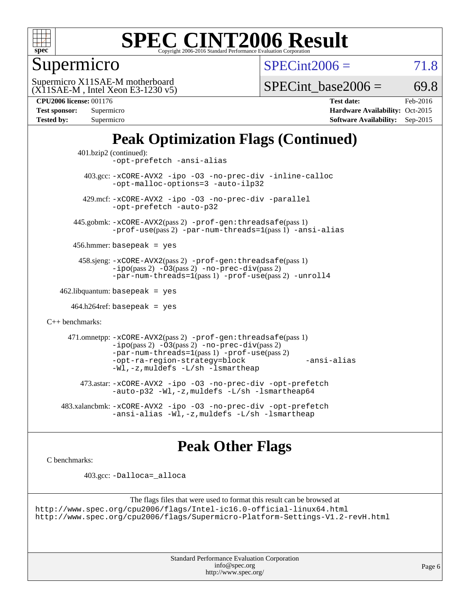

Supermicro

 $SPECint2006 = 71.8$  $SPECint2006 = 71.8$ 

(X11SAE-M , Intel Xeon E3-1230 v5) Supermicro X11SAE-M motherboard

SPECint base2006 =  $69.8$ 

| <b>CPU2006 license: 001176</b> |  |  |
|--------------------------------|--|--|

| <b>Test sponsor:</b> | Supermicro |
|----------------------|------------|
| <b>Tested by:</b>    | Supermicro |

**[CPU2006 license:](http://www.spec.org/auto/cpu2006/Docs/result-fields.html#CPU2006license)** 001176 **[Test date:](http://www.spec.org/auto/cpu2006/Docs/result-fields.html#Testdate)** Feb-2016 **[Hardware Availability:](http://www.spec.org/auto/cpu2006/Docs/result-fields.html#HardwareAvailability)** Oct-2015 **[Software Availability:](http://www.spec.org/auto/cpu2006/Docs/result-fields.html#SoftwareAvailability)** Sep-2015

## **[Peak Optimization Flags \(Continued\)](http://www.spec.org/auto/cpu2006/Docs/result-fields.html#PeakOptimizationFlags)**

```
 401.bzip2 (continued):
                -opt-prefetch -ansi-alias
          403.gcc: -xCORE-AVX2 -ipo -O3 -no-prec-div -inline-calloc
                -opt-malloc-options=3 -auto-ilp32
         429.mcf: -xCORE-AVX2 -ipo -O3 -no-prec-div -parallel
                -opt-prefetch -auto-p32
       445.gobmk: -xCORE-AVX2(pass 2) -prof-gen:threadsafe(pass 1)
                -prof-use(pass 2) -par-num-threads=1(pass 1) -ansi-alias
       456.hmmer: basepeak = yes
        458.sjeng: -xCORE-AVX2(pass 2) -prof-gen:threadsafe(pass 1)
                -i\text{po}(pass 2) -\tilde{O}3(pass 2)-no-prec-div(pass 2)
                -par-num-threads=1(pass 1) -prof-use(pass 2) -unroll4
   462.libquantum: basepeak = yes
     464.h264ref: basepeak = yes
C++ benchmarks: 
      471.omnetpp: -xCORE-AVX2(pass 2) -prof-gen:threadsafe(pass 1)
                -i\text{po}(pass 2) -03(pass 2) -no-prec-div(pass 2)-par-num-threads=1(pass 1) -prof-use(pass 2)
                -opt-ra-region-strategy=block -ansi-alias
                -Wl,-z,muldefs -L/sh -lsmartheap
         473.astar: -xCORE-AVX2 -ipo -O3 -no-prec-div -opt-prefetch
                -auto-p32 -Wl,-z,muldefs -L/sh -lsmartheap64
    483.xalancbmk: -xCORE-AVX2 -ipo -O3 -no-prec-div -opt-prefetch
                -ansi-alias -Wl,-z,muldefs -L/sh -lsmartheap
```
### **[Peak Other Flags](http://www.spec.org/auto/cpu2006/Docs/result-fields.html#PeakOtherFlags)**

[C benchmarks](http://www.spec.org/auto/cpu2006/Docs/result-fields.html#Cbenchmarks):

403.gcc: [-Dalloca=\\_alloca](http://www.spec.org/cpu2006/results/res2016q1/cpu2006-20160307-39288.flags.html#b403.gcc_peakEXTRA_CFLAGS_Dalloca_be3056838c12de2578596ca5467af7f3)

```
The flags files that were used to format this result can be browsed at
http://www.spec.org/cpu2006/flags/Intel-ic16.0-official-linux64.html
http://www.spec.org/cpu2006/flags/Supermicro-Platform-Settings-V1.2-revH.html
```
Standard Performance Evaluation Corporation [info@spec.org](mailto:info@spec.org) <http://www.spec.org/>